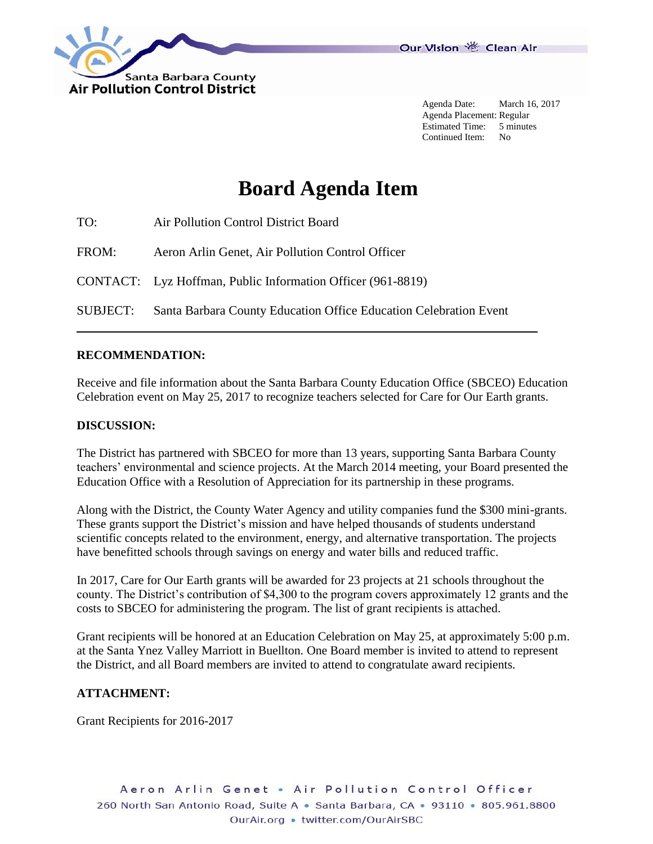

Agenda Date: March 16, 2017 Agenda Placement: Regular Estimated Time: 5 minutes Continued Item: No

# **Board Agenda Item**

| TO:      | Air Pollution Control District Board                              |
|----------|-------------------------------------------------------------------|
| FROM:    | Aeron Arlin Genet, Air Pollution Control Officer                  |
|          | CONTACT: Lyz Hoffman, Public Information Officer (961-8819)       |
| SUBJECT: | Santa Barbara County Education Office Education Celebration Event |

## **RECOMMENDATION:**

Receive and file information about the Santa Barbara County Education Office (SBCEO) Education Celebration event on May 25, 2017 to recognize teachers selected for Care for Our Earth grants.

#### **DISCUSSION:**

The District has partnered with SBCEO for more than 13 years, supporting Santa Barbara County teachers' environmental and science projects. At the March 2014 meeting, your Board presented the Education Office with a Resolution of Appreciation for its partnership in these programs.

Along with the District, the County Water Agency and utility companies fund the \$300 mini-grants. These grants support the District's mission and have helped thousands of students understand scientific concepts related to the environment, energy, and alternative transportation. The projects have benefitted schools through savings on energy and water bills and reduced traffic.

In 2017, Care for Our Earth grants will be awarded for 23 projects at 21 schools throughout the county. The District's contribution of \$4,300 to the program covers approximately 12 grants and the costs to SBCEO for administering the program. The list of grant recipients is attached.

Grant recipients will be honored at an Education Celebration on May 25, at approximately 5:00 p.m. at the Santa Ynez Valley Marriott in Buellton. One Board member is invited to attend to represent the District, and all Board members are invited to attend to congratulate award recipients.

#### **ATTACHMENT:**

Grant Recipients for 2016-2017

Aeron Arlin Genet . Air Pollution Control Officer 260 North San Antonio Road, Suite A · Santa Barbara, CA · 93110 · 805.961.8800 OurAir.org • twitter.com/OurAirSBC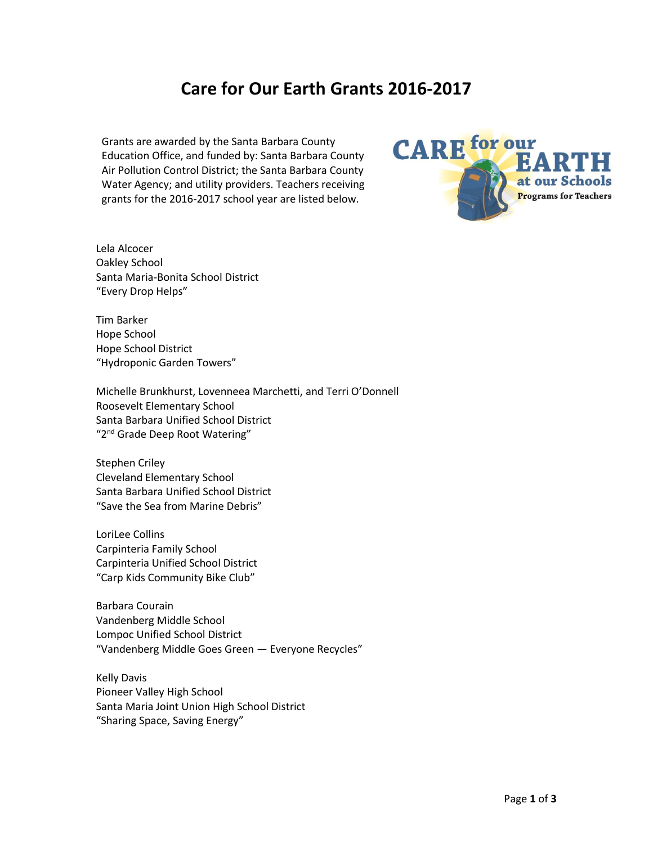# **Care for Our Earth Grants 2016-2017**

Grants are awarded by the Santa Barbara County Education Office, and funded by: Santa Barbara County Air Pollution Control District; the Santa Barbara County Water Agency; and utility providers. Teachers receiving grants for the 2016-2017 school year are listed below.



Tim Barker Hope School Hope School District "Hydroponic Garden Towers"

Michelle Brunkhurst, Lovenneea Marchetti, and Terri O'Donnell Roosevelt Elementary School Santa Barbara Unified School District "2<sup>nd</sup> Grade Deep Root Watering"

Stephen Criley Cleveland Elementary School Santa Barbara Unified School District "Save the Sea from Marine Debris"

LoriLee Collins Carpinteria Family School Carpinteria Unified School District "Carp Kids Community Bike Club"

Barbara Courain Vandenberg Middle School Lompoc Unified School District "Vandenberg Middle Goes Green — Everyone Recycles"

Kelly Davis Pioneer Valley High School Santa Maria Joint Union High School District "Sharing Space, Saving Energy"

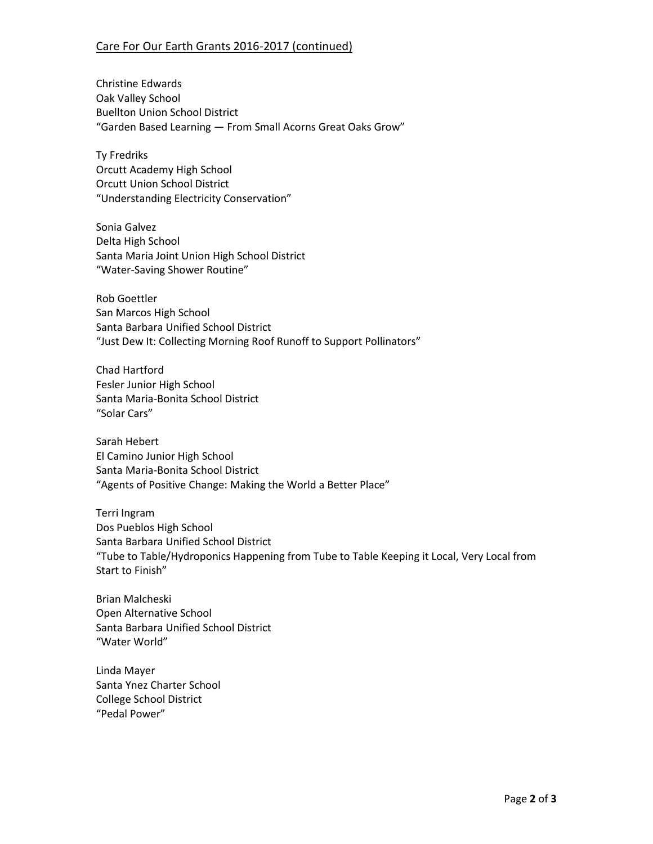## Care For Our Earth Grants 2016-2017 (continued)

Christine Edwards Oak Valley School Buellton Union School District "Garden Based Learning — From Small Acorns Great Oaks Grow"

Ty Fredriks Orcutt Academy High School Orcutt Union School District "Understanding Electricity Conservation"

Sonia Galvez Delta High School Santa Maria Joint Union High School District "Water-Saving Shower Routine"

Rob Goettler San Marcos High School Santa Barbara Unified School District "Just Dew It: Collecting Morning Roof Runoff to Support Pollinators"

Chad Hartford Fesler Junior High School Santa Maria-Bonita School District "Solar Cars"

Sarah Hebert El Camino Junior High School Santa Maria-Bonita School District "Agents of Positive Change: Making the World a Better Place"

Terri Ingram Dos Pueblos High School Santa Barbara Unified School District "Tube to Table/Hydroponics Happening from Tube to Table Keeping it Local, Very Local from Start to Finish"

Brian Malcheski Open Alternative School Santa Barbara Unified School District "Water World"

Linda Mayer Santa Ynez Charter School College School District "Pedal Power"